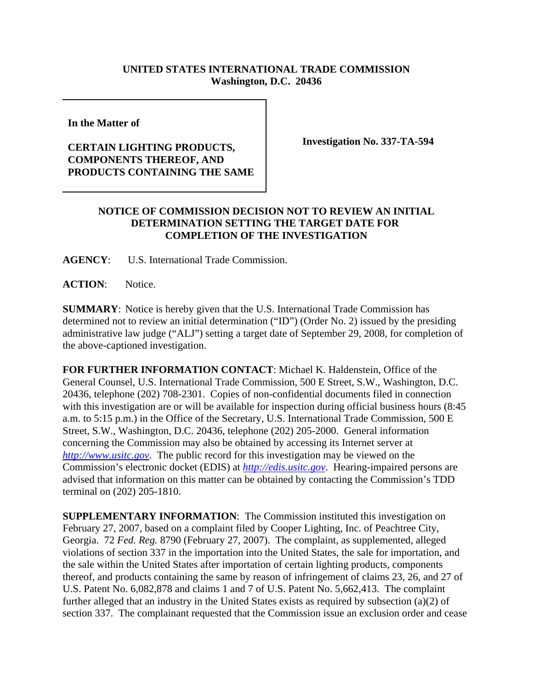## **UNITED STATES INTERNATIONAL TRADE COMMISSION Washington, D.C. 20436**

**In the Matter of** 

## **CERTAIN LIGHTING PRODUCTS, COMPONENTS THEREOF, AND PRODUCTS CONTAINING THE SAME**

**Investigation No. 337-TA-594**

## **NOTICE OF COMMISSION DECISION NOT TO REVIEW AN INITIAL DETERMINATION SETTING THE TARGET DATE FOR COMPLETION OF THE INVESTIGATION**

**AGENCY**: U.S. International Trade Commission.

**ACTION**: Notice.

**SUMMARY**: Notice is hereby given that the U.S. International Trade Commission has determined not to review an initial determination ("ID") (Order No. 2) issued by the presiding administrative law judge ("ALJ") setting a target date of September 29, 2008, for completion of the above-captioned investigation.

**FOR FURTHER INFORMATION CONTACT**: Michael K. Haldenstein, Office of the General Counsel, U.S. International Trade Commission, 500 E Street, S.W., Washington, D.C. 20436, telephone (202) 708-2301. Copies of non-confidential documents filed in connection with this investigation are or will be available for inspection during official business hours (8:45 a.m. to 5:15 p.m.) in the Office of the Secretary, U.S. International Trade Commission, 500 E Street, S.W., Washington, D.C. 20436, telephone (202) 205-2000. General information concerning the Commission may also be obtained by accessing its Internet server at *http://www.usitc.gov*. The public record for this investigation may be viewed on the Commission's electronic docket (EDIS) at *http://edis.usitc.gov*. Hearing-impaired persons are advised that information on this matter can be obtained by contacting the Commission's TDD terminal on (202) 205-1810.

**SUPPLEMENTARY INFORMATION:** The Commission instituted this investigation on February 27, 2007, based on a complaint filed by Cooper Lighting, Inc. of Peachtree City, Georgia. 72 *Fed. Reg.* 8790 (February 27, 2007). The complaint, as supplemented, alleged violations of section 337 in the importation into the United States, the sale for importation, and the sale within the United States after importation of certain lighting products, components thereof, and products containing the same by reason of infringement of claims 23, 26, and 27 of U.S. Patent No. 6,082,878 and claims 1 and 7 of U.S. Patent No. 5,662,413. The complaint further alleged that an industry in the United States exists as required by subsection (a)(2) of section 337. The complainant requested that the Commission issue an exclusion order and cease